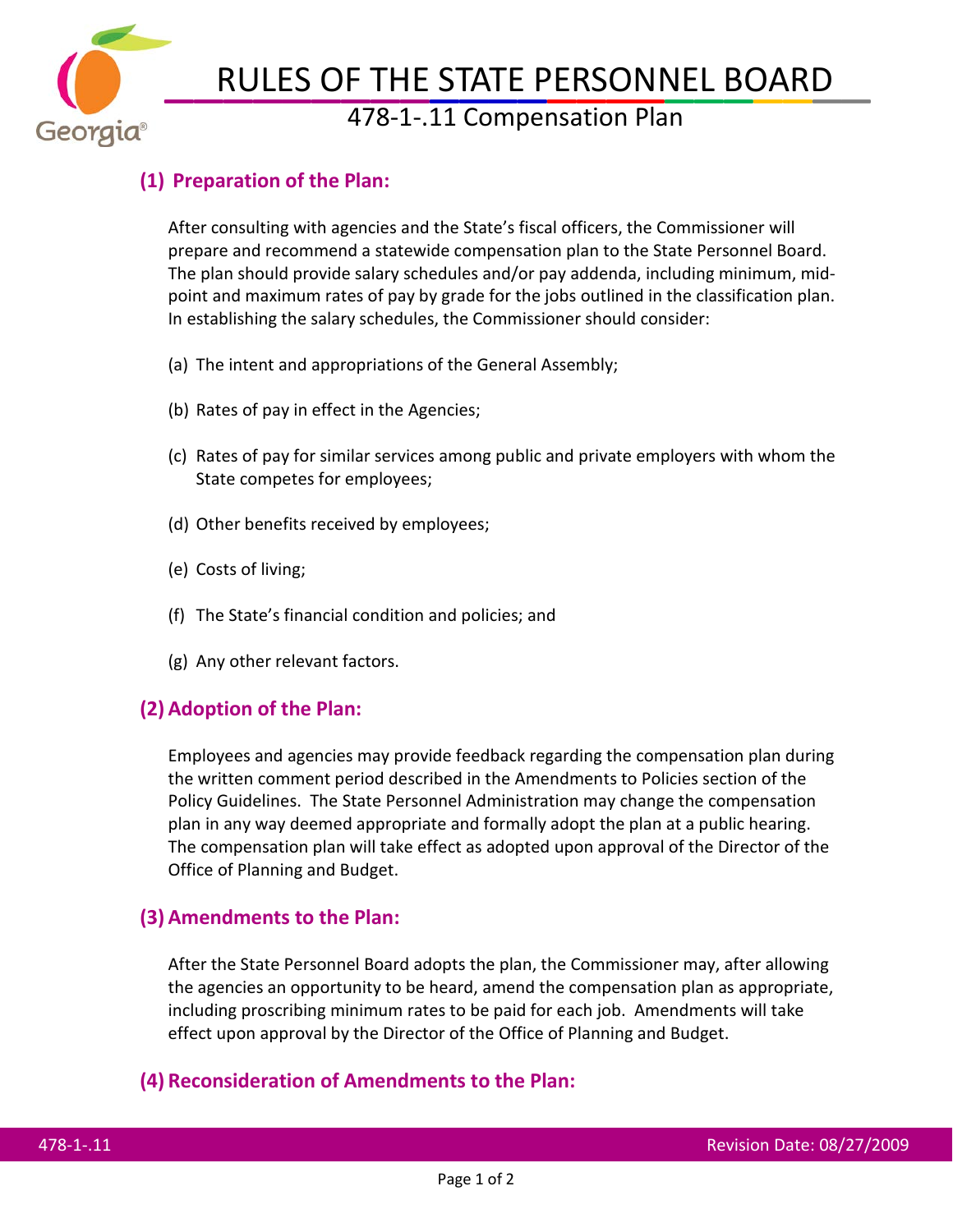

# RULES OF THE STATE PERSONNEL BOARD<br>478-1-.11 Compensation Plan

## **(1) Preparation of the Plan:**

After consulting with agencies and the State's fiscal officers, the Commissioner will prepare and recommend a statewide compensation plan to the State Personnel Board. The plan should provide salary schedules and/or pay addenda, including minimum, midpoint and maximum rates of pay by grade for the jobs outlined in the classification plan. In establishing the salary schedules, the Commissioner should consider:

- (a) The intent and appropriations of the General Assembly;
- (b) Rates of pay in effect in the Agencies;
- (c) Rates of pay for similar services among public and private employers with whom the State competes for employees;
- (d) Other benefits received by employees;
- (e) Costs of living;
- (f) The State's financial condition and policies; and
- (g) Any other relevant factors.

## **(2) Adoption of the Plan:**

Employees and agencies may provide feedback regarding the compensation plan during the written comment period described in the Amendments to Policies section of the Policy Guidelines. The State Personnel Administration may change the compensation plan in any way deemed appropriate and formally adopt the plan at a public hearing. The compensation plan will take effect as adopted upon approval of the Director of the Office of Planning and Budget.

## **(3) Amendments to the Plan:**

After the State Personnel Board adopts the plan, the Commissioner may, after allowing the agencies an opportunity to be heard, amend the compensation plan as appropriate, including proscribing minimum rates to be paid for each job. Amendments will take effect upon approval by the Director of the Office of Planning and Budget.

### **(4) Reconsideration of Amendments to the Plan:**